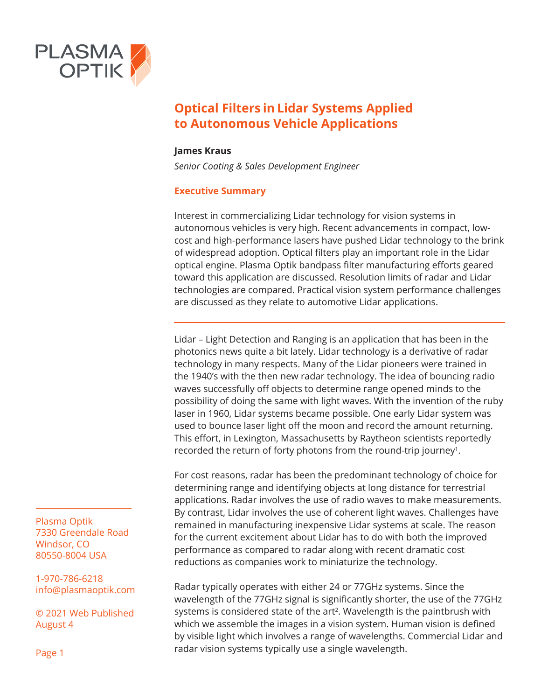

#### **James Kraus**

*Senior Coating & Sales Development Engineer*

#### **Executive Summary**

Interest in commercializing Lidar technology for vision systems in autonomous vehicles is very high. Recent advancements in compact, lowcost and high-performance lasers have pushed Lidar technology to the brink of widespread adoption. Optical filters play an important role in the Lidar optical engine. Plasma Optik bandpass filter manufacturing efforts geared toward this application are discussed. Resolution limits of radar and Lidar technologies are compared. Practical vision system performance challenges are discussed as they relate to automotive Lidar applications.

Lidar – Light Detection and Ranging is an application that has been in the photonics news quite a bit lately. Lidar technology is a derivative of radar technology in many respects. Many of the Lidar pioneers were trained in the 1940's with the then new radar technology. The idea of bouncing radio waves successfully off objects to determine range opened minds to the possibility of doing the same with light waves. With the invention of the ruby laser in 1960, Lidar systems became possible. One early Lidar system was used to bounce laser light off the moon and record the amount returning. This effort, in Lexington, Massachusetts by Raytheon scientists reportedly recorded the return of forty photons from the round-trip journey<sup>1</sup>.

For cost reasons, radar has been the predominant technology of choice for determining range and identifying objects at long distance for terrestrial applications. Radar involves the use of radio waves to make measurements. By contrast, Lidar involves the use of coherent light waves. Challenges have remained in manufacturing inexpensive Lidar systems at scale. The reason for the current excitement about Lidar has to do with both the improved performance as compared to radar along with recent dramatic cost reductions as companies work to miniaturize the technology.

Radar typically operates with either 24 or 77GHz systems. Since the wavelength of the 77GHz signal is significantly shorter, the use of the 77GHz systems is considered state of the art<sup>2</sup>. Wavelength is the paintbrush with which we assemble the images in a vision system. Human vision is defined by visible light which involves a range of wavelengths. Commercial Lidar and radar vision systems typically use a single wavelength.

Plasma Optik 7330 Greendale Road Windsor, CO 80550-8004 USA

1-970-786-6218 info@plasmaoptik.com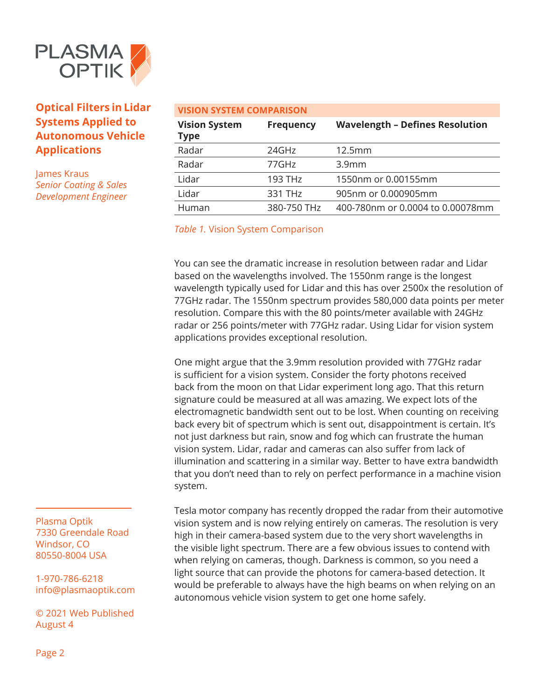

James Kraus *Senior Coating & Sales Development Engineer*

| <b>VISION SYSTEM COMPARISON</b>     |                       |                                        |
|-------------------------------------|-----------------------|----------------------------------------|
| <b>Vision System</b><br><b>Type</b> | <b>Frequency</b>      | <b>Wavelength - Defines Resolution</b> |
| Radar                               | 24GHz                 | 12.5mm                                 |
| Radar                               | $77$ GHz              | 3.9 <sub>mm</sub>                      |
| Lidar                               | $193$ TH <sub>z</sub> | 1550nm or 0.00155mm                    |
| Lidar                               | 331 TH <sub>z</sub>   | 905nm or 0.000905mm                    |
| Human                               | 380-750 THz           | 400-780nm or 0.0004 to 0.00078mm       |

*Table 1.* Vision System Comparison

You can see the dramatic increase in resolution between radar and Lidar based on the wavelengths involved. The 1550nm range is the longest wavelength typically used for Lidar and this has over 2500x the resolution of 77GHz radar. The 1550nm spectrum provides 580,000 data points per meter resolution. Compare this with the 80 points/meter available with 24GHz radar or 256 points/meter with 77GHz radar. Using Lidar for vision system applications provides exceptional resolution.

One might argue that the 3.9mm resolution provided with 77GHz radar is sufficient for a vision system. Consider the forty photons received back from the moon on that Lidar experiment long ago. That this return signature could be measured at all was amazing. We expect lots of the electromagnetic bandwidth sent out to be lost. When counting on receiving back every bit of spectrum which is sent out, disappointment is certain. It's not just darkness but rain, snow and fog which can frustrate the human vision system. Lidar, radar and cameras can also suffer from lack of illumination and scattering in a similar way. Better to have extra bandwidth that you don't need than to rely on perfect performance in a machine vision system.

Tesla motor company has recently dropped the radar from their automotive vision system and is now relying entirely on cameras. The resolution is very high in their camera-based system due to the very short wavelengths in the visible light spectrum. There are a few obvious issues to contend with when relying on cameras, though. Darkness is common, so you need a light source that can provide the photons for camera-based detection. It would be preferable to always have the high beams on when relying on an autonomous vehicle vision system to get one home safely.

Plasma Optik 7330 Greendale Road Windsor, CO 80550-8004 USA

1-970-786-6218 info@plasmaoptik.com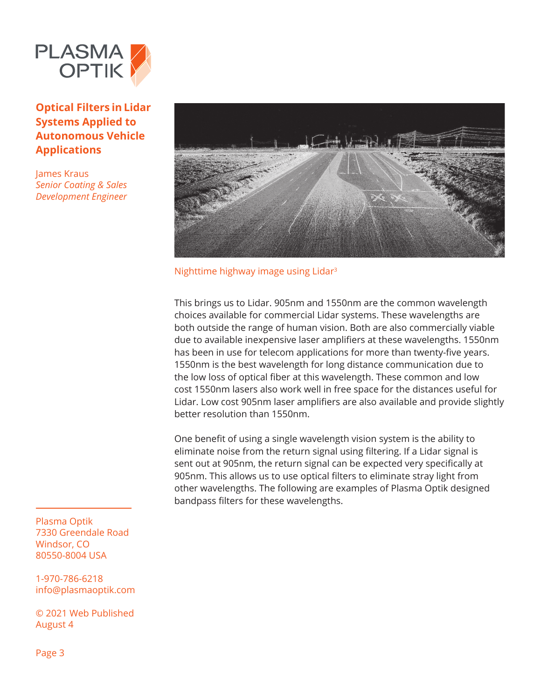

James Kraus *Senior Coating & Sales Development Engineer*



Nighttime highway image using Lidar3

This brings us to Lidar. 905nm and 1550nm are the common wavelength choices available for commercial Lidar systems. These wavelengths are both outside the range of human vision. Both are also commercially viable due to available inexpensive laser amplifiers at these wavelengths. 1550nm has been in use for telecom applications for more than twenty-five years. 1550nm is the best wavelength for long distance communication due to the low loss of optical fiber at this wavelength. These common and low cost 1550nm lasers also work well in free space for the distances useful for Lidar. Low cost 905nm laser amplifiers are also available and provide slightly better resolution than 1550nm.

One benefit of using a single wavelength vision system is the ability to eliminate noise from the return signal using filtering. If a Lidar signal is sent out at 905nm, the return signal can be expected very specifically at 905nm. This allows us to use optical filters to eliminate stray light from other wavelengths. The following are examples of Plasma Optik designed bandpass filters for these wavelengths.

Plasma Optik 7330 Greendale Road Windsor, CO 80550-8004 USA

1-970-786-6218 info@plasmaoptik.com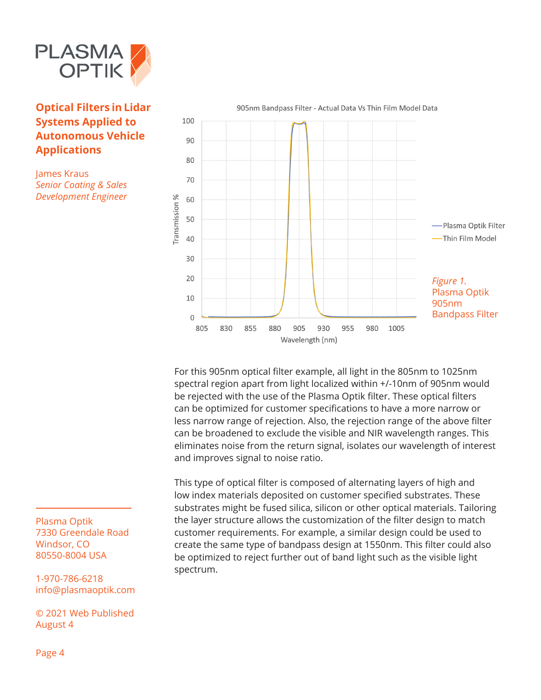

James Kraus *Senior Coating & Sales Development Engineer*



For this 905nm optical filter example, all light in the 805nm to 1025nm spectral region apart from light localized within +/-10nm of 905nm would be rejected with the use of the Plasma Optik filter. These optical filters can be optimized for customer specifications to have a more narrow or less narrow range of rejection. Also, the rejection range of the above filter can be broadened to exclude the visible and NIR wavelength ranges. This eliminates noise from the return signal, isolates our wavelength of interest and improves signal to noise ratio.

This type of optical filter is composed of alternating layers of high and low index materials deposited on customer specified substrates. These substrates might be fused silica, silicon or other optical materials. Tailoring the layer structure allows the customization of the filter design to match customer requirements. For example, a similar design could be used to create the same type of bandpass design at 1550nm. This filter could also be optimized to reject further out of band light such as the visible light spectrum.

Plasma Optik 7330 Greendale Road Windsor, CO 80550-8004 USA

1-970-786-6218 info@plasmaoptik.com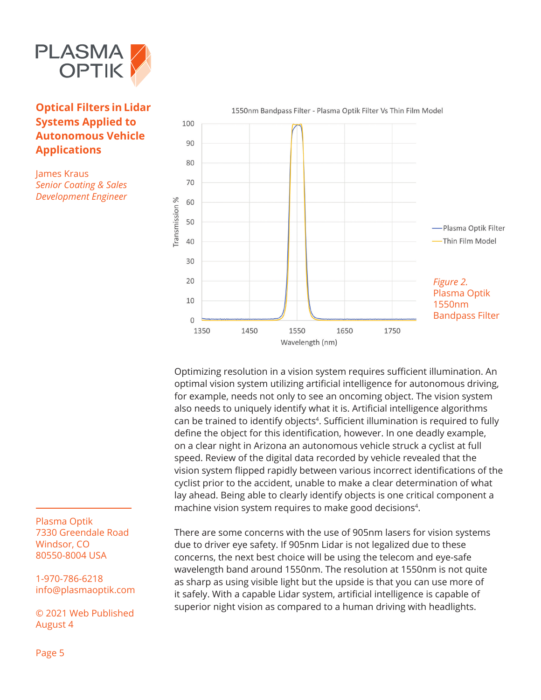

James Kraus *Senior Coating & Sales Development Engineer*



Optimizing resolution in a vision system requires sufficient illumination. An optimal vision system utilizing artificial intelligence for autonomous driving, for example, needs not only to see an oncoming object. The vision system also needs to uniquely identify what it is. Artificial intelligence algorithms can be trained to identify objects<sup>4</sup>. Sufficient illumination is required to fully define the object for this identification, however. In one deadly example, on a clear night in Arizona an autonomous vehicle struck a cyclist at full speed. Review of the digital data recorded by vehicle revealed that the vision system flipped rapidly between various incorrect identifications of the cyclist prior to the accident, unable to make a clear determination of what lay ahead. Being able to clearly identify objects is one critical component a machine vision system requires to make good decisions<sup>4</sup>.

There are some concerns with the use of 905nm lasers for vision systems due to driver eye safety. If 905nm Lidar is not legalized due to these concerns, the next best choice will be using the telecom and eye-safe wavelength band around 1550nm. The resolution at 1550nm is not quite as sharp as using visible light but the upside is that you can use more of it safely. With a capable Lidar system, artificial intelligence is capable of superior night vision as compared to a human driving with headlights.

Plasma Optik 7330 Greendale Road Windsor, CO 80550-8004 USA

1-970-786-6218 info@plasmaoptik.com